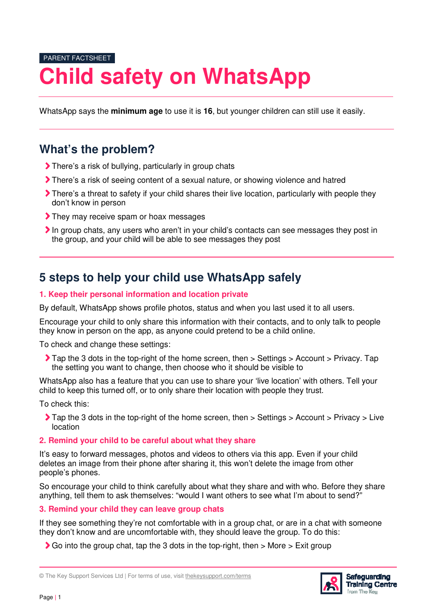# PARENT FACTSHEET **Child safety on WhatsApp**

WhatsApp says the **minimum age** to use it is **16**, but younger children can still use it easily.

### **What's the problem?**

- There's a risk of bullying, particularly in group chats
- There's a risk of seeing content of a sexual nature, or showing violence and hatred
- There's a threat to safety if your child shares their live location, particularly with people they don't know in person
- They may receive spam or hoax messages
- In group chats, any users who aren't in your child's contacts can see messages they post in the group, and your child will be able to see messages they post

### **5 steps to help your child use WhatsApp safely**

#### **1. Keep their personal information and location private**

By default, WhatsApp shows profile photos, status and when you last used it to all users.

Encourage your child to only share this information with their contacts, and to only talk to people they know in person on the app, as anyone could pretend to be a child online.

To check and change these settings:

 Tap the 3 dots in the top-right of the home screen, then > Settings > Account > Privacy. Tap the setting you want to change, then choose who it should be visible to

WhatsApp also has a feature that you can use to share your 'live location' with others. Tell your child to keep this turned off, or to only share their location with people they trust.

To check this:

Tap the 3 dots in the top-right of the home screen, then > Settings > Account > Privacy > Live location

#### **2. Remind your child to be careful about what they share**

It's easy to forward messages, photos and videos to others via this app. Even if your child deletes an image from their phone after sharing it, this won't delete the image from other people's phones.

So encourage your child to think carefully about what they share and with who. Before they share anything, tell them to ask themselves: "would I want others to see what I'm about to send?"

**3. Remind your child they can leave group chats** 

If they see something they're not comfortable with in a group chat, or are in a chat with someone they don't know and are uncomfortable with, they should leave the group. To do this:

 $\blacktriangleright$  Go into the group chat, tap the 3 dots in the top-right, then  $>$  More  $>$  Exit group